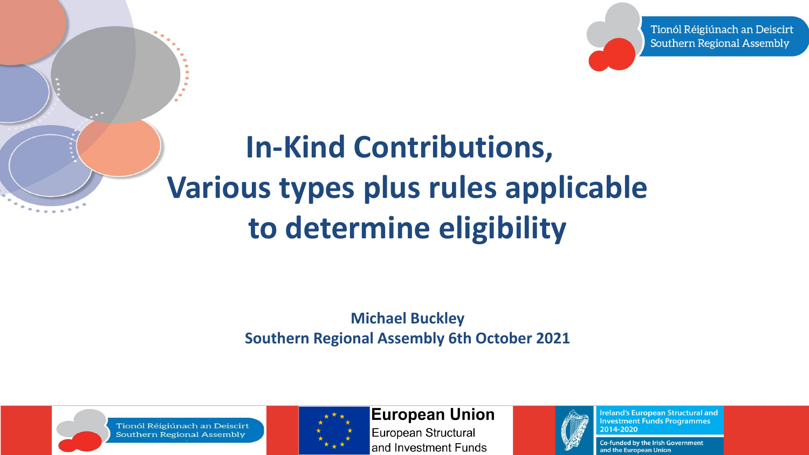Tionól Réigiúnach an Deiscirt **Southern Regional Assembly** 

### **In-Kind Contributions, Various types plus rules applicable to determine eligibility**

**Michael Buckley Southern Regional Assembly 6th October 2021**



Tionól Réigiúnach an Deiscirt **Southern Regional Assembly** 



**European Union** 

European Structural and Investment Funds



**Ireland's European Structural and Investment Funds Programmes** 2014-2020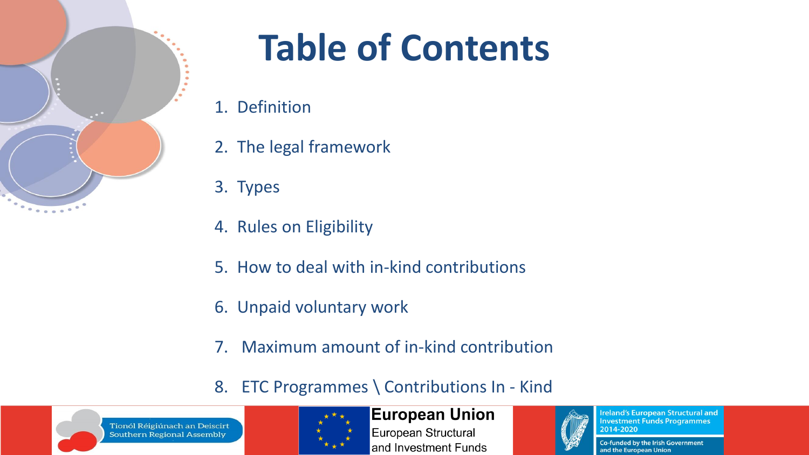

# **Table of Contents**

- 1. Definition
- 2. The legal framework
- 3. Types
- 4. Rules on Eligibility
- 5. How to deal with in-kind contributions
- 6. Unpaid voluntary work
- 7. Maximum amount of in-kind contribution
- 8. ETC Programmes \ Contributions In Kind



Tionól Réigiúnach an Deiscirt **Southern Regional Assembly** 



#### **European Union**

European Structural and Investment Funds



**Ireland's European Structural and Investment Funds Programmes** 2014-2020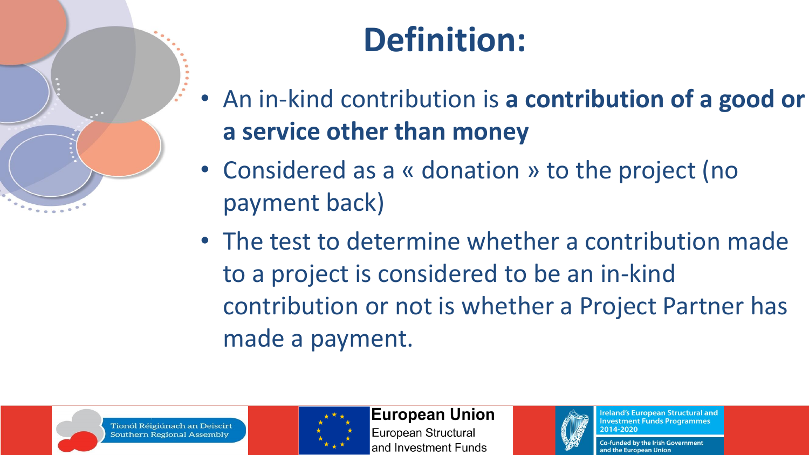

- An in-kind contribution is **a contribution of a good or a service other than money**
- Considered as a « donation » to the project (no payment back)
- The test to determine whether a contribution made to a project is considered to be an in-kind contribution or not is whether a Project Partner has made a payment.





**European Union** 

European Structural and Investment Funds



**Ireland's European Structural and Investment Funds Programmes** 2014-2020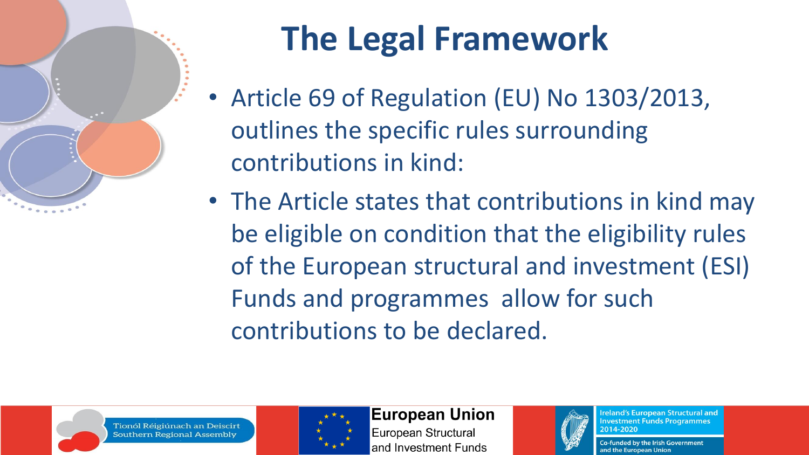

## **The Legal Framework**

- Article 69 of Regulation (EU) No 1303/2013, outlines the specific rules surrounding contributions in kind:
- The Article states that contributions in kind may be eligible on condition that the eligibility rules of the European structural and investment (ESI) Funds and programmes allow for such contributions to be declared.



Tionól Réigiúnach an Deiscirt Southern Regional Assembly



**European Union** 

European Structural and Investment Funds



**Ireland's European Structural and Investment Funds Programmes** 2014-2020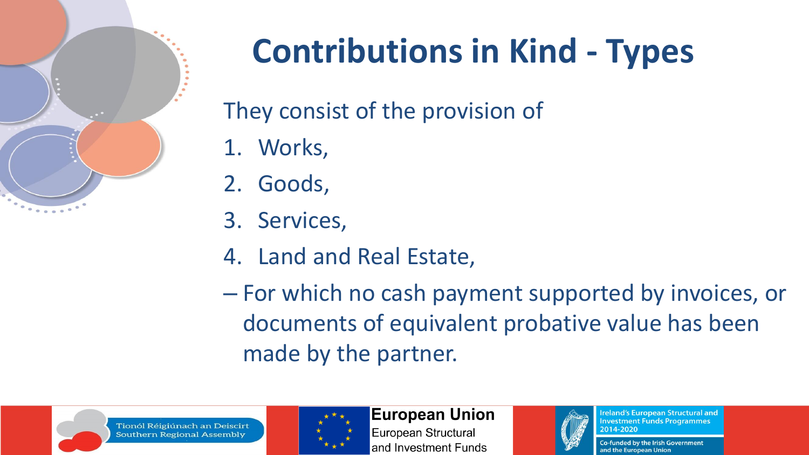

## **Contributions in Kind - Types**

They consist of the provision of

- 1. Works,
- 2. Goods,
- 3. Services,
- 4. Land and Real Estate,

– For which no cash payment supported by invoices, or documents of equivalent probative value has been made by the partner.





**European Union** 

European Structural and Investment Funds



**Ireland's European Structural and Investment Funds Programmes** 2014-2020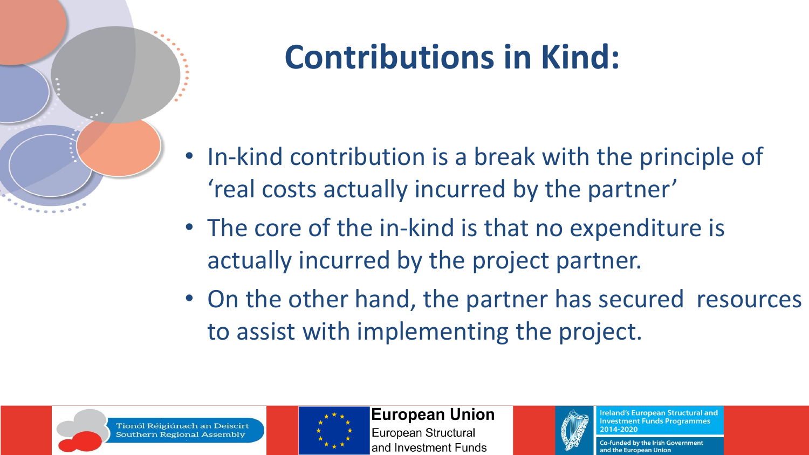

## **Contributions in Kind:**

- In-kind contribution is a break with the principle of 'real costs actually incurred by the partner'
- The core of the in-kind is that no expenditure is actually incurred by the project partner.
- On the other hand, the partner has secured resources to assist with implementing the project.





**European Union** 

European Structural and Investment Funds



**Ireland's European Structural and Investment Funds Programmes** 2014-2020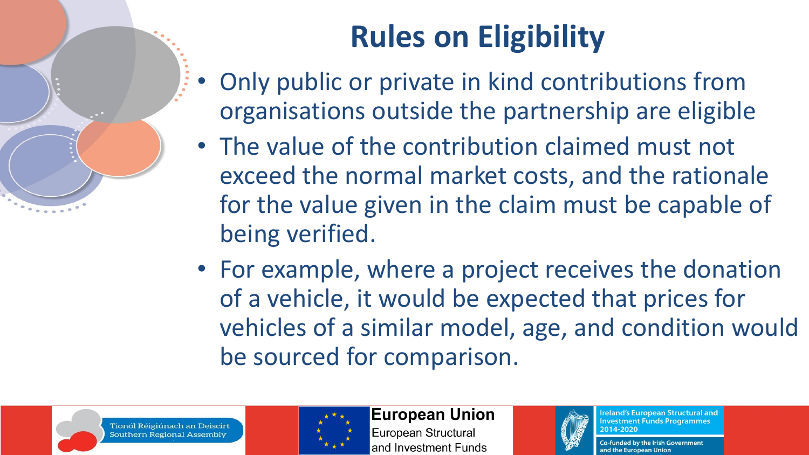### **Rules on Eligibility**

- Only public or private in kind contributions from organisations outside the partnership are eligible
- The value of the contribution claimed must not exceed the normal market costs, and the rationale for the value given in the claim must be capable of being verified.
- For example, where a project receives the donation of a vehicle, it would be expected that prices for vehicles of a similar model, age, and condition would be sourced for comparison.





**European Union** European Structural and Investment Funds



**Ireland's European Structural and Investment Funds Programmes** 2014-2020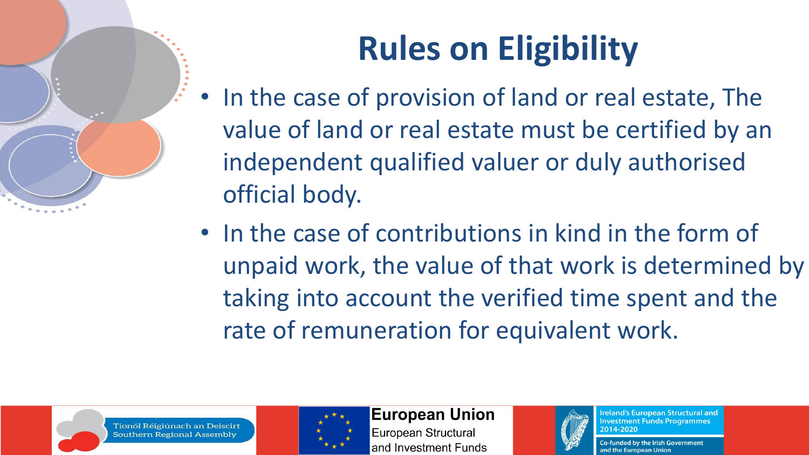## **Rules on Eligibility**

- In the case of provision of land or real estate, The value of land or real estate must be certified by an independent qualified valuer or duly authorised official body.
- In the case of contributions in kind in the form of unpaid work, the value of that work is determined by taking into account the verified time spent and the rate of remuneration for equivalent work.





**European Union** 

European Structural and Investment Funds



**Ireland's European Structural and Investment Funds Programmes** 2014-2020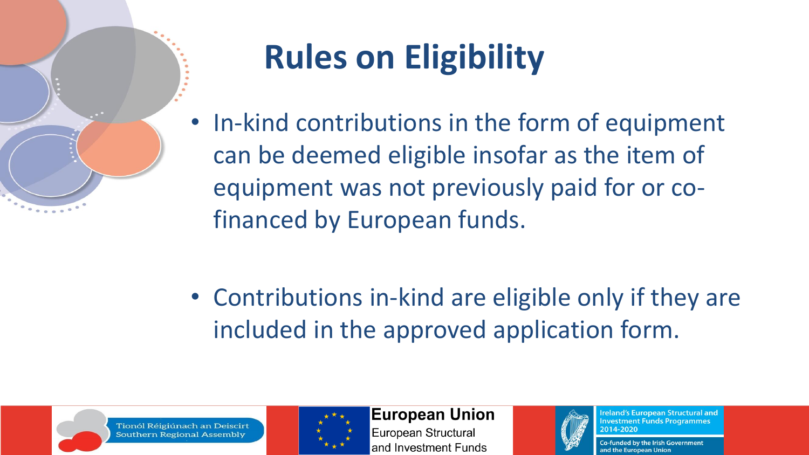

## **Rules on Eligibility**

• In-kind contributions in the form of equipment can be deemed eligible insofar as the item of equipment was not previously paid for or cofinanced by European funds.

• Contributions in-kind are eligible only if they are included in the approved application form.



Tionól Réigiúnach an Deiscirt Southern Regional Assembly



**European Union** 

European Structural and Investment Funds



**Ireland's European Structural and Investment Funds Programmes** 2014-2020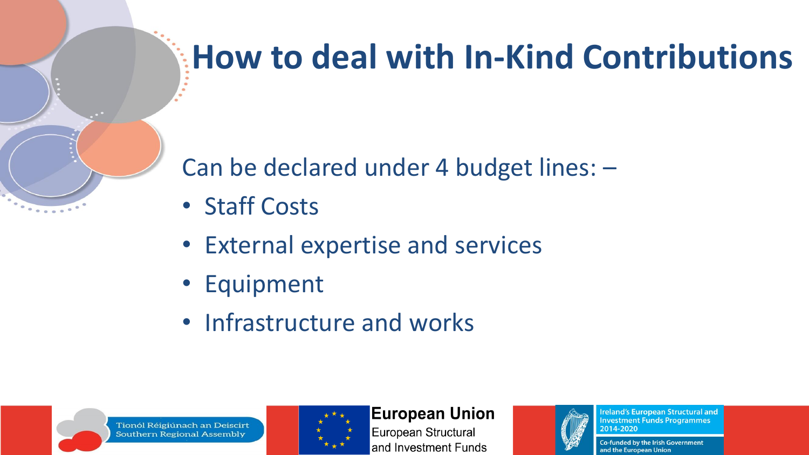### **How to deal with In-Kind Contributions**

Can be declared under 4 budget lines: –

- Staff Costs
- External expertise and services
- Equipment
- Infrastructure and works



Tionól Réigiúnach an Deiscirt **Southern Regional Assembly** 



#### **European Union**

European Structural and Investment Funds



**Ireland's European Structural and Investment Funds Programmes** 2014-2020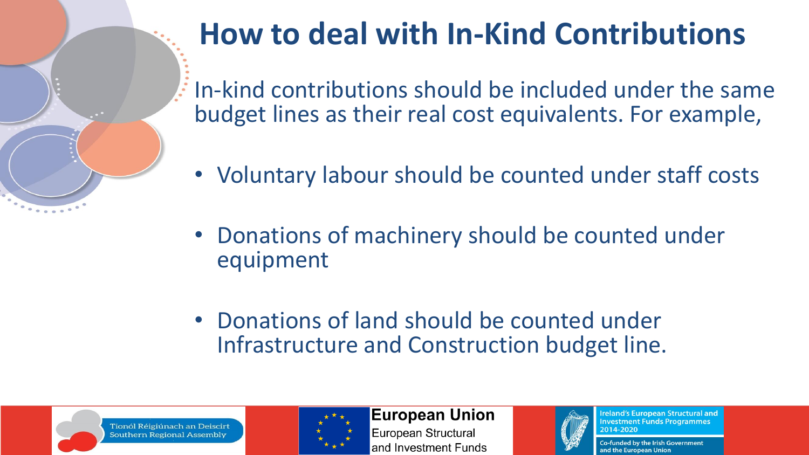

### **How to deal with In-Kind Contributions**

In-kind contributions should be included under the same budget lines as their real cost equivalents. For example,

- Voluntary labour should be counted under staff costs
- Donations of machinery should be counted under equipment
- Donations of land should be counted under Infrastructure and Construction budget line.





**European Union** European Structural and Investment Funds



**Ireland's European Structural and Investment Funds Programmes** 2014-2020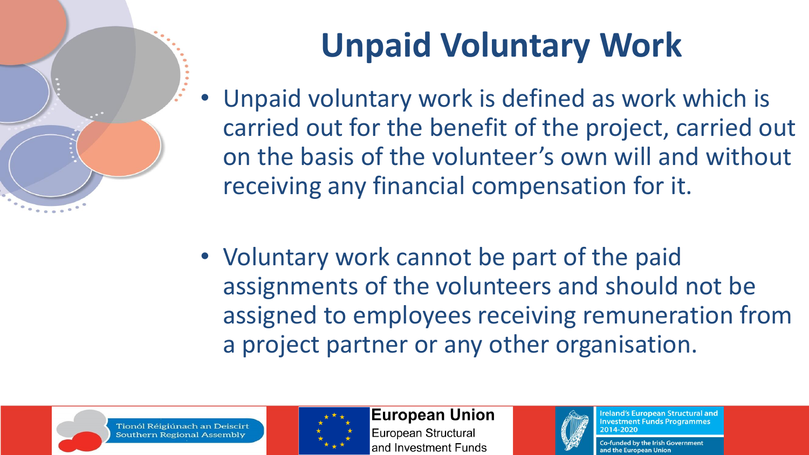## **Unpaid Voluntary Work**

- Unpaid voluntary work is defined as work which is carried out for the benefit of the project, carried out on the basis of the volunteer's own will and without receiving any financial compensation for it.
- Voluntary work cannot be part of the paid assignments of the volunteers and should not be assigned to employees receiving remuneration from a project partner or any other organisation.





**European Union** European Structural



**Ireland's European Structural and Investment Funds Programmes** 2014-2020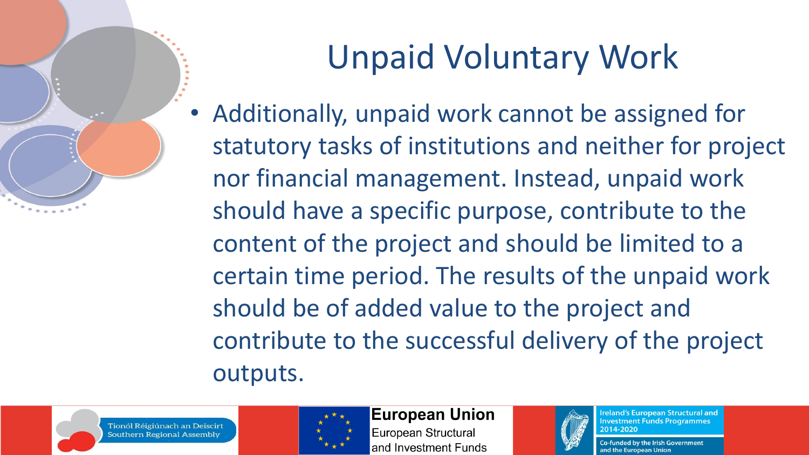

## Unpaid Voluntary Work

• Additionally, unpaid work cannot be assigned for statutory tasks of institutions and neither for project nor financial management. Instead, unpaid work should have a specific purpose, contribute to the content of the project and should be limited to a certain time period. The results of the unpaid work should be of added value to the project and contribute to the successful delivery of the project outputs.





### **European Union**

European Structural and Investment Funds



**Ireland's European Structural and Investment Funds Programmes** 2014-2020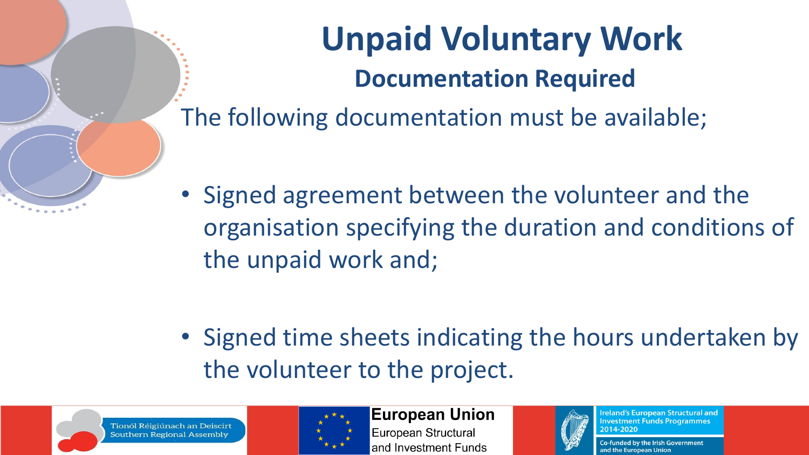

## **Unpaid Voluntary Work Documentation Required**

The following documentation must be available;

• Signed agreement between the volunteer and the organisation specifying the duration and conditions of the unpaid work and;

• Signed time sheets indicating the hours undertaken by the volunteer to the project.



Tionól Réigiúnach an Deiscirt Southern Regional Assembly



**European Union** European Structural and Investment Funds



**Ireland's European Structural and Investment Funds Programmes** 2014-2020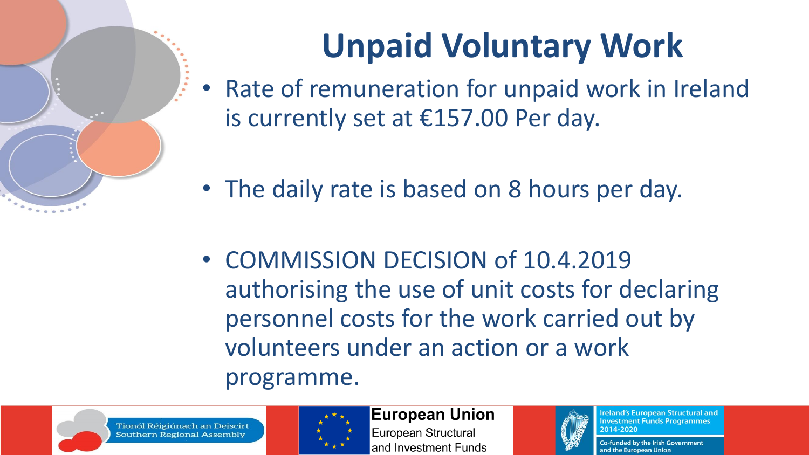

- Rate of remuneration for unpaid work in Ireland is currently set at €157.00 Per day.
- The daily rate is based on 8 hours per day.
- COMMISSION DECISION of 10.4.2019 authorising the use of unit costs for declaring personnel costs for the work carried out by volunteers under an action or a work programme.





**European Union** 

European Structural and Investment Funds



**Ireland's European Structural and Investment Funds Programmes** 2014-2020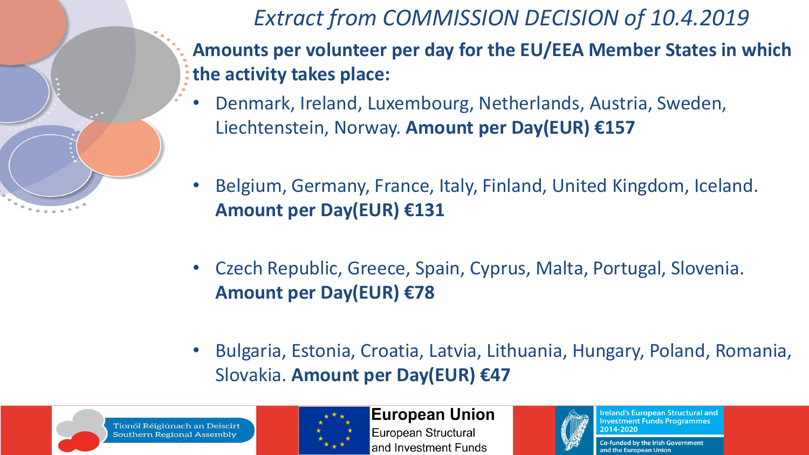

*Extract from COMMISSION DECISION of 10.4.2019*

- **Amounts per volunteer per day for the EU/EEA Member States in which the activity takes place:**
- Denmark, Ireland, Luxembourg, Netherlands, Austria, Sweden, Liechtenstein, Norway. **Amount per Day(EUR) €157**
- Belgium, Germany, France, Italy, Finland, United Kingdom, Iceland. **Amount per Day(EUR) €131**
- Czech Republic, Greece, Spain, Cyprus, Malta, Portugal, Slovenia. **Amount per Day(EUR) €78**
- Bulgaria, Estonia, Croatia, Latvia, Lithuania, Hungary, Poland, Romania, Slovakia. **Amount per Day(EUR) €47**



Tionól Réigiúnach an Deiscirt Southern Regional Assembly



**European Union** European Structural and Investment Funds



**Ireland's European Structural and Investment Funds Programmes** 2014-2020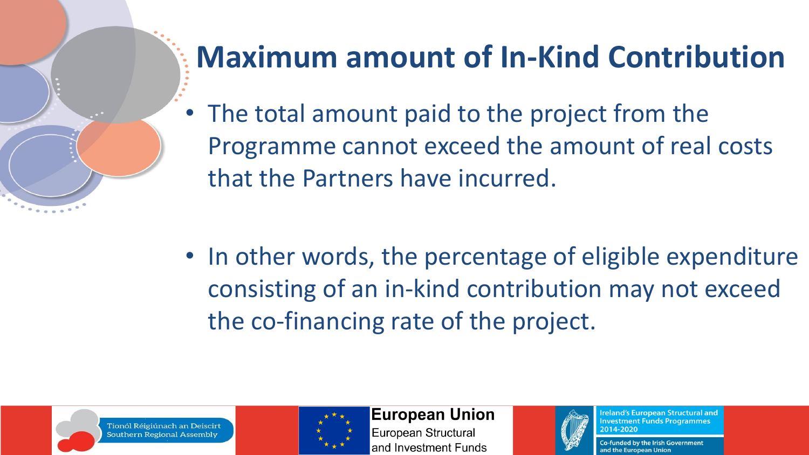

• The total amount paid to the project from the Programme cannot exceed the amount of real costs that the Partners have incurred.

• In other words, the percentage of eligible expenditure consisting of an in-kind contribution may not exceed the co-financing rate of the project.





**European Union** 

European Structural and Investment Funds



**Ireland's European Structural and Investment Funds Programmes** 2014-2020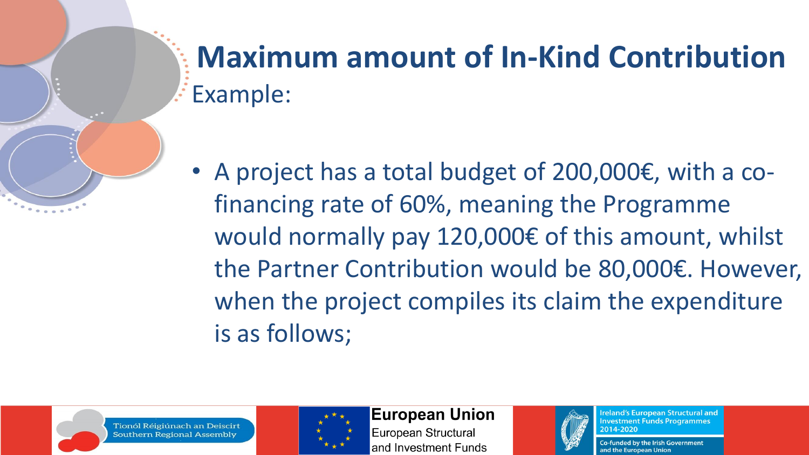### **Maximum amount of In-Kind Contribution** Example:

• A project has a total budget of 200,000€, with a cofinancing rate of 60%, meaning the Programme would normally pay 120,000€ of this amount, whilst the Partner Contribution would be 80,000€. However, when the project compiles its claim the expenditure is as follows;



Tionól Réigiúnach an Deiscir Southern Regional Assembly



**European Union** 

European Structural and Investment Funds



**Ireland's European Structural and Investment Funds Programmes** 2014-2020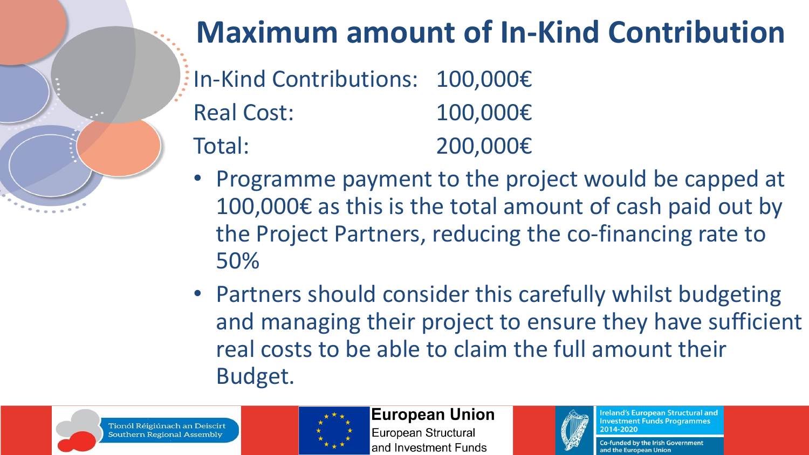

### **Maximum amount of In-Kind Contribution**

- In-Kind Contributions: 100,000€ Real Cost: 100,000€ Total: 200,000€
- Programme payment to the project would be capped at 100,000€ as this is the total amount of cash paid out by the Project Partners, reducing the co-financing rate to 50%
- Partners should consider this carefully whilst budgeting and managing their project to ensure they have sufficient real costs to be able to claim the full amount their Budget.





**European Union** 

European Structural and Investment Funds



**Ireland's European Structural and Investment Funds Programmes** 2014-2020